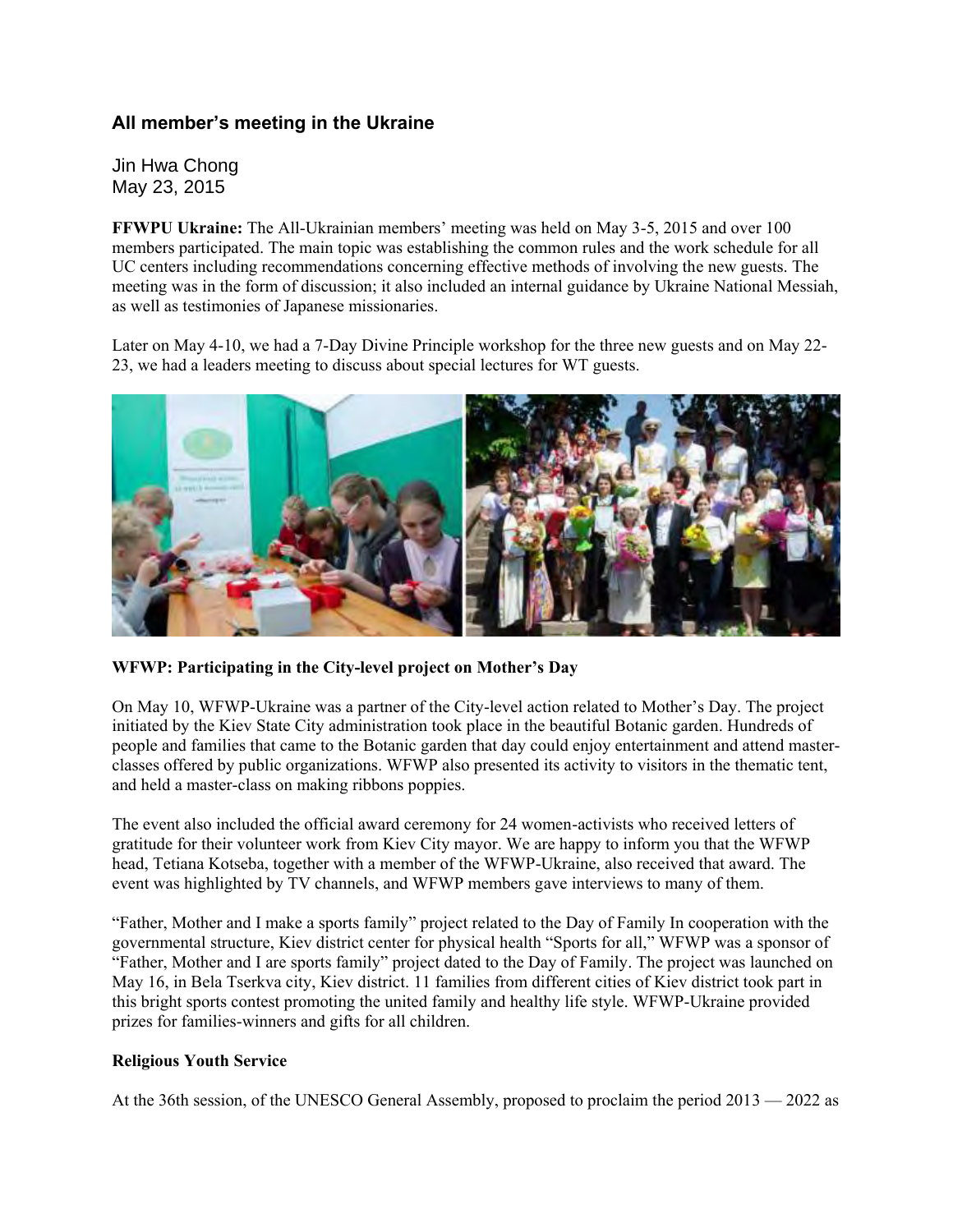## **All member's meeting in the Ukraine**

Jin Hwa Chong May 23, 2015

**FFWPU Ukraine:** The All-Ukrainian members' meeting was held on May 3-5, 2015 and over 100 members participated. The main topic was establishing the common rules and the work schedule for all UC centers including recommendations concerning effective methods of involving the new guests. The meeting was in the form of discussion; it also included an internal guidance by Ukraine National Messiah, as well as testimonies of Japanese missionaries.

Later on May 4-10, we had a 7-Day Divine Principle workshop for the three new guests and on May 22- 23, we had a leaders meeting to discuss about special lectures for WT guests.



## **WFWP: Participating in the City-level project on Mother's Day**

On May 10, WFWP-Ukraine was a partner of the City-level action related to Mother's Day. The project initiated by the Kiev State City administration took place in the beautiful Botanic garden. Hundreds of people and families that came to the Botanic garden that day could enjoy entertainment and attend masterclasses offered by public organizations. WFWP also presented its activity to visitors in the thematic tent, and held a master-class on making ribbons poppies.

The event also included the official award ceremony for 24 women-activists who received letters of gratitude for their volunteer work from Kiev City mayor. We are happy to inform you that the WFWP head, Tetiana Kotseba, together with a member of the WFWP-Ukraine, also received that award. The event was highlighted by TV channels, and WFWP members gave interviews to many of them.

"Father, Mother and I make a sports family" project related to the Day of Family In cooperation with the governmental structure, Kiev district center for physical health "Sports for all," WFWP was a sponsor of "Father, Mother and I are sports family" project dated to the Day of Family. The project was launched on May 16, in Bela Tserkva city, Kiev district. 11 families from different cities of Kiev district took part in this bright sports contest promoting the united family and healthy life style. WFWP-Ukraine provided prizes for families-winners and gifts for all children.

## **Religious Youth Service**

At the 36th session, of the UNESCO General Assembly, proposed to proclaim the period 2013 — 2022 as